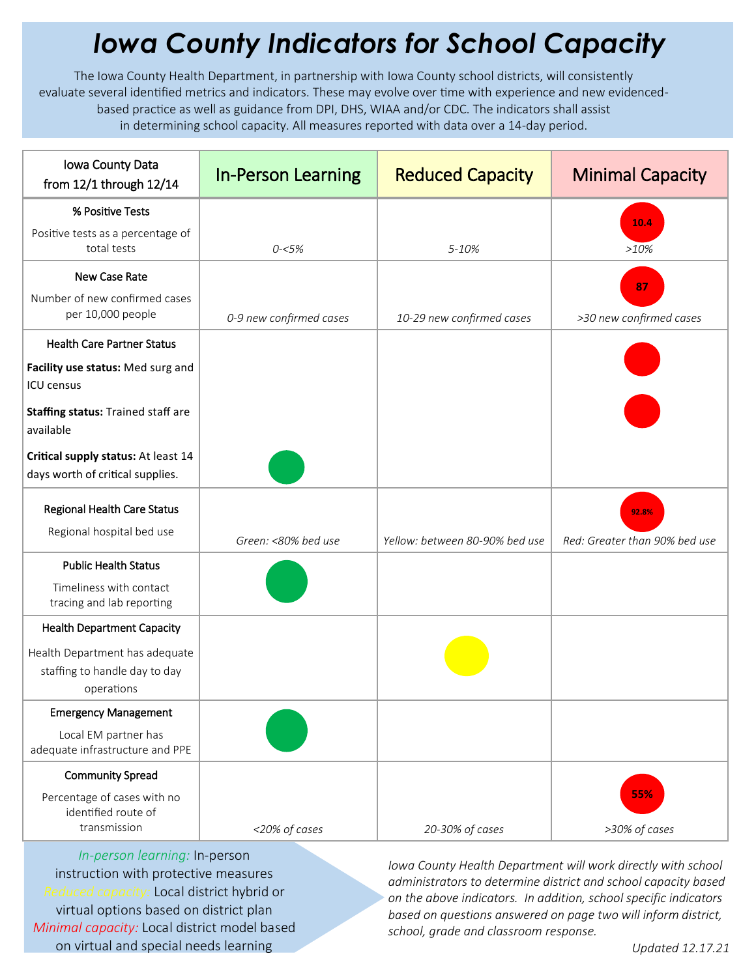## *Iowa County Indicators for School Capacity*

The Iowa County Health Department, in partnership with Iowa County school districts, will consistently evaluate several identified metrics and indicators. These may evolve over time with experience and new evidencedbased practice as well as guidance from DPI, DHS, WIAA and/or CDC. The indicators shall assist in determining school capacity. All measures reported with data over a 14-day period.

| Iowa County Data<br>from $12/1$ through $12/14$                                     | <b>In-Person Learning</b> | <b>Reduced Capacity</b>        | <b>Minimal Capacity</b>                |
|-------------------------------------------------------------------------------------|---------------------------|--------------------------------|----------------------------------------|
| % Positive Tests                                                                    |                           |                                |                                        |
| Positive tests as a percentage of<br>total tests                                    | $0 - 5%$                  | $5 - 10%$                      | 10.4<br>>10%                           |
| <b>New Case Rate</b>                                                                |                           |                                |                                        |
| Number of new confirmed cases<br>per 10,000 people                                  | 0-9 new confirmed cases   | 10-29 new confirmed cases      | 87<br>>30 new confirmed cases          |
| <b>Health Care Partner Status</b>                                                   |                           |                                |                                        |
| Facility use status: Med surg and<br><b>ICU</b> census                              |                           |                                |                                        |
| Staffing status: Trained staff are<br>available                                     |                           |                                |                                        |
| Critical supply status: At least 14<br>days worth of critical supplies.             |                           |                                |                                        |
| Regional Health Care Status<br>Regional hospital bed use                            | Green: <80% bed use       | Yellow: between 80-90% bed use | 92.8%<br>Red: Greater than 90% bed use |
| <b>Public Health Status</b><br>Timeliness with contact<br>tracing and lab reporting |                           |                                |                                        |
| <b>Health Department Capacity</b>                                                   |                           |                                |                                        |
| Health Department has adequate<br>staffing to handle day to day<br>operations       |                           |                                |                                        |
| <b>Emergency Management</b>                                                         |                           |                                |                                        |
| Local EM partner has<br>adequate infrastructure and PPE                             |                           |                                |                                        |
| <b>Community Spread</b>                                                             |                           |                                |                                        |
| Percentage of cases with no<br>identified route of<br>transmission                  | <20% of cases             | 20-30% of cases                | 55%<br>>30% of cases                   |

*In-person learning:* In-person instruction with protective measures *Reduced capacity:* Local district hybrid or virtual options based on district plan *Minimal capacity:* Local district model based on virtual and special needs learning

*Iowa County Health Department will work directly with school administrators to determine district and school capacity based on the above indicators. In addition, school specific indicators based on questions answered on page two will inform district, school, grade and classroom response.*